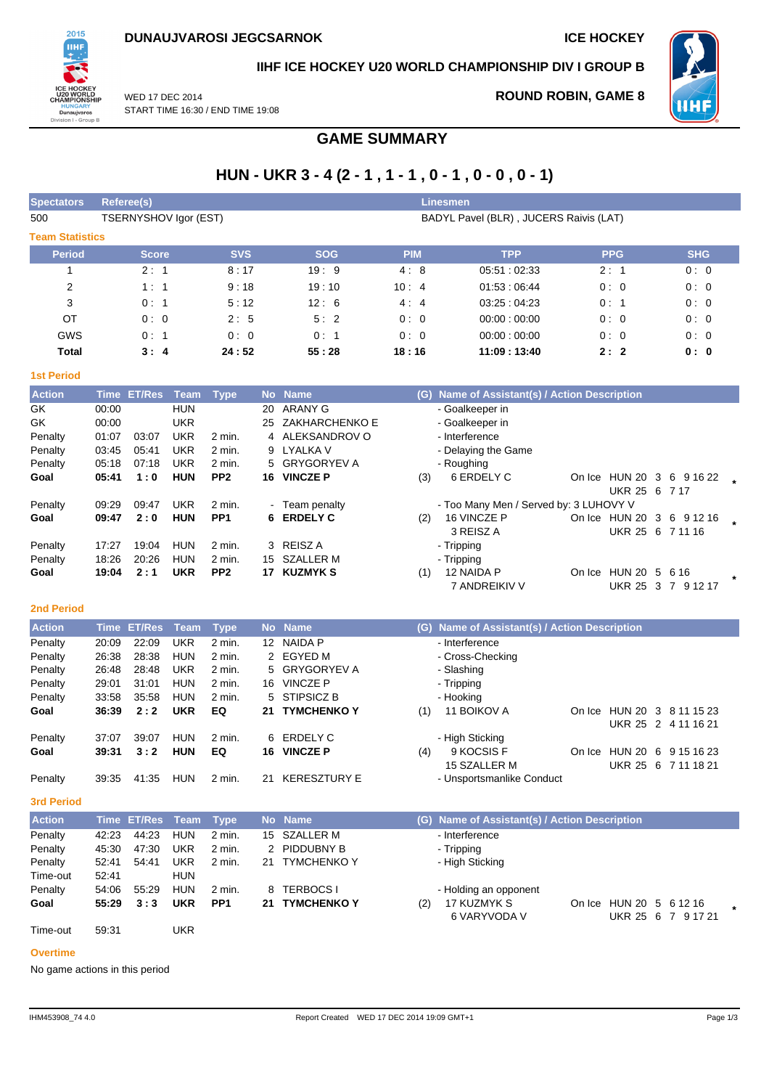

# **IIHF ICE HOCKEY U20 WORLD CHAMPIONSHIP DIV I GROUP B**

WED 17 DEC 2014 START TIME 16:30 / END TIME 19:08

# **ROUND ROBIN, GAME 8**



# **GAME SUMMARY**

# **HUN - UKR 3 - 4 (2 - 1 , 1 - 1 , 0 - 1 , 0 - 0 , 0 - 1)**

| <b>Spectators</b>      | Linesmen<br>Referee(s) |            |            |            |                                        |            |            |  |  |  |  |  |
|------------------------|------------------------|------------|------------|------------|----------------------------------------|------------|------------|--|--|--|--|--|
| 500                    | TSERNYSHOV Igor (EST)  |            |            |            | BADYL Pavel (BLR), JUCERS Raivis (LAT) |            |            |  |  |  |  |  |
| <b>Team Statistics</b> |                        |            |            |            |                                        |            |            |  |  |  |  |  |
| <b>Period</b>          | <b>Score</b>           | <b>SVS</b> | <b>SOG</b> | <b>PIM</b> | <b>TPP</b>                             | <b>PPG</b> | <b>SHG</b> |  |  |  |  |  |
|                        | 2:1                    | 8:17       | 19:9       | 4:8        | 05.51:02.33                            | 2:1        | 0:0        |  |  |  |  |  |
| $\overline{2}$         | 1:1                    | 9:18       | 19:10      | 10:4       | 01.53:06.44                            | 0:0        | 0:0        |  |  |  |  |  |
| 3                      | 0:1                    | 5:12       | 12:6       | 4:4        | 03.25:04.23                            | 0:1        | 0:0        |  |  |  |  |  |
| <b>OT</b>              | 0:0                    | 2:5        | 5:2        | 0:0        | 00:00:00:00                            | 0:0        | 0:0        |  |  |  |  |  |
| <b>GWS</b>             | 0:1                    | 0:0        | 0:1        | 0:0        | 00:00:00:00                            | 0:0        | 0:0        |  |  |  |  |  |
| Total                  | 3:4                    | 24:52      | 55:28      | 18:16      | 11:09:13:40                            | 2:2        | 0: 0       |  |  |  |  |  |

## **1st Period**

| <b>Action</b> | <b>Time</b> | <b>ET/Res</b> | Team       | <b>Type</b>     |     | No Name         |     | (G) Name of Assistant(s) / Action Description |        |                           |    |                           |        |
|---------------|-------------|---------------|------------|-----------------|-----|-----------------|-----|-----------------------------------------------|--------|---------------------------|----|---------------------------|--------|
| GK.           | 00:00       |               | <b>HUN</b> |                 | 20  | ARANY G         |     | - Goalkeeper in                               |        |                           |    |                           |        |
| GK            | 00:00       |               | <b>UKR</b> |                 | 25  | ZAKHARCHENKO E  |     | - Goalkeeper in                               |        |                           |    |                           |        |
| Penalty       | 01:07       | 03:07         | <b>UKR</b> | 2 min.          |     | 4 ALEKSANDROV O |     | - Interference                                |        |                           |    |                           |        |
| Penalty       | 03:45       | 05:41         | UKR        | 2 min.          |     | 9 LYALKA V      |     | - Delaying the Game                           |        |                           |    |                           |        |
| Penalty       | 05:18       | 07:18         | <b>UKR</b> | 2 min.          |     | 5 GRYGORYEV A   |     | - Roughing                                    |        |                           |    |                           |        |
| Goal          | 05:41       | 1:0           | <b>HUN</b> | PP <sub>2</sub> | 16. | <b>VINCZE P</b> | (3) | 6 ERDELY C                                    |        | On Ice HUN 20             | 3  | 6 9 1 6 2 2               |        |
|               |             |               |            |                 |     |                 |     |                                               |        | UKR 25 6 7 17             |    |                           |        |
| Penalty       | 09.29       | 09:47         | UKR        | 2 min.          |     | - Team penalty  |     | - Too Many Men / Served by: 3 LUHOVY V        |        |                           |    |                           |        |
| Goal          | 09:47       | 2:0           | <b>HUN</b> | PP <sub>1</sub> |     | 6 ERDELY C      | (2) | 16 VINCZE P                                   |        | On Ice HUN 20 3 6 9 12 16 |    |                           |        |
|               |             |               |            |                 |     |                 |     | 3 REISZ A                                     |        | UKR 25 6 7 11 16          |    |                           |        |
| Penalty       | 17:27       | 19:04         | <b>HUN</b> | $2$ min.        |     | 3 REISZ A       |     | - Tripping                                    |        |                           |    |                           |        |
| Penalty       | 18:26       | 20:26         | <b>HUN</b> | 2 min.          | 15  | SZALLER M       |     | - Tripping                                    |        |                           |    |                           |        |
| Goal          | 19:04       | 2:1           | <b>UKR</b> | PP <sub>2</sub> | 17  | <b>KUZMYK S</b> | (1) | 12 NAIDA P                                    | On Ice | HUN 20 5                  |    | 6 16                      | $\ast$ |
|               |             |               |            |                 |     |                 |     | 7 ANDREIKIV V                                 |        | <b>UKR 25</b>             | -3 | $\overline{7}$<br>9 12 17 |        |

#### **2nd Period**

| <b>Action</b> |       | Time ET/Res | Team       | <b>Type</b> |    | No Name             |     | (G) Name of Assistant(s) / Action Description |        |          |     |                     |
|---------------|-------|-------------|------------|-------------|----|---------------------|-----|-----------------------------------------------|--------|----------|-----|---------------------|
| Penalty       | 20:09 | 22:09       | <b>UKR</b> | 2 min.      | 12 | NAIDA P             |     | - Interference                                |        |          |     |                     |
| Penalty       | 26:38 | 28:38       | <b>HUN</b> | 2 min.      |    | 2 EGYED M           |     | - Cross-Checking                              |        |          |     |                     |
| Penalty       | 26:48 | 28:48       | <b>UKR</b> | 2 min.      |    | 5 GRYGORYEV A       |     | - Slashing                                    |        |          |     |                     |
| Penalty       | 29:01 | 31:01       | HUN        | 2 min.      | 16 | <b>VINCZE P</b>     |     | - Tripping                                    |        |          |     |                     |
| Penalty       | 33:58 | 35:58       | HUN        | 2 min.      |    | 5 STIPSICZ B        |     | - Hooking                                     |        |          |     |                     |
| Goal          | 36:39 | 2:2         | <b>UKR</b> | EQ          |    | 21 TYMCHENKO Y      | (1) | 11 BOIKOV A                                   | On Ice | HUN 20 3 |     | 8 11 15 23          |
|               |       |             |            |             |    |                     |     |                                               |        |          |     | UKR 25 2 4 11 16 21 |
| Penalty       | 37:07 | 39:07       | HUN        | 2 min.      | 6  | ERDELY C            |     | - High Sticking                               |        |          |     |                     |
| Goal          | 39:31 | 3:2         | <b>HUN</b> | EQ          | 16 | <b>VINCZE P</b>     | (4) | 9 KOCSIS F                                    | On Ice | HUN 20   | - 6 | 9 15 16 23          |
|               |       |             |            |             |    |                     |     | 15 SZALLER M                                  |        | UKR 25   | -6  | 7 11 18 21          |
| Penalty       | 39:35 | 41:35       | <b>HUN</b> | 2 min.      | 21 | <b>KERESZTURY E</b> |     | - Unsportsmanlike Conduct                     |        |          |     |                     |

## **3rd Period**

| <b>Action</b> |       | Time ET/Res Team Type |            |                 |    | No Name            | (G) Name of Assistant(s) / Action Description    |  |
|---------------|-------|-----------------------|------------|-----------------|----|--------------------|--------------------------------------------------|--|
| Penalty       | 42:23 | 44:23                 | <b>HUN</b> | 2 min.          |    | 15 SZALLER M       | - Interference                                   |  |
| Penalty       | 45:30 | 47:30                 | UKR        | 2 min.          |    | 2 PIDDUBNY B       | - Tripping                                       |  |
| Penalty       | 52:41 | 54:41                 | UKR        | 2 min.          |    | 21 TYMCHENKO Y     | - High Sticking                                  |  |
| Time-out      | 52:41 |                       | <b>HUN</b> |                 |    |                    |                                                  |  |
| Penalty       | 54:06 | 55.29                 | <b>HUN</b> | 2 min.          |    | 8 TERBOCS I        | - Holding an opponent                            |  |
| Goal          | 55:29 | 3:3                   | <b>UKR</b> | PP <sub>1</sub> | 21 | <b>TYMCHENKO Y</b> | 17 KUZMYK S<br>HUN 20 5 6 12 16<br>(2)<br>On Ice |  |
|               |       |                       |            |                 |    |                    | 6 VARYVODA V<br>UKR 25 6 7 9 17 21               |  |
| Time-out      | 59:31 |                       | UKR        |                 |    |                    |                                                  |  |

#### **Overtime**

No game actions in this period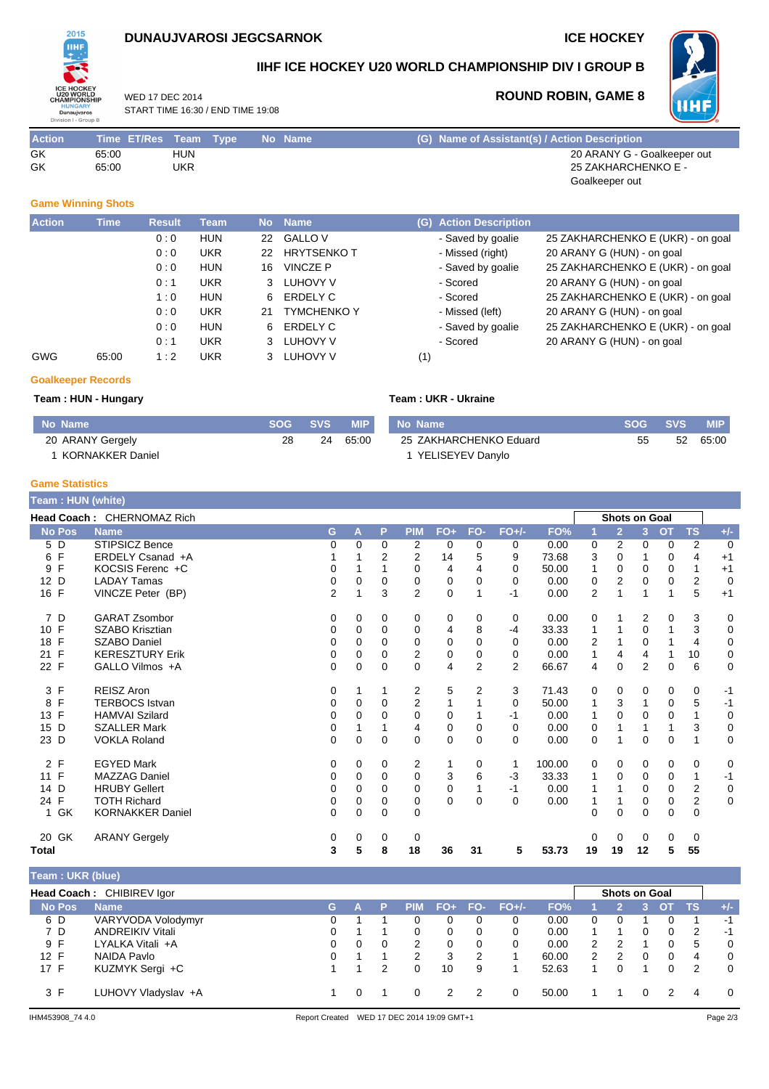## **DUNAUJVAROSI JEGCSARNOK ICE HOCKEY**

**ROUND ROBIN, GAME 8**



## **IIHF ICE HOCKEY U20 WORLD CHAMPIONSHIP DIV I GROUP B**

**WHF** 

WED 17 DEC 2014 START TIME 16:30 / END TIME 19:08

| <b>Action</b> | Time ET/Res Team Type |            | No Name | (G) Name of Assistant(s) / Action Description |
|---------------|-----------------------|------------|---------|-----------------------------------------------|
| GK            | 65:00                 | <b>HUN</b> |         | 20 ARANY G - Goalkeeper out                   |
| GK            | 65.00                 | UKR        |         | 25 ZAKHARCHENKO E -                           |
|               |                       |            |         | Goalkeeper out                                |

### **Game Winning Shots**

| <b>Action</b> | <b>Time</b> | <b>Result</b> | <b>Team</b> | No <b>I</b> | <b>Name</b>        | (G) | <b>Action Description</b> |                                   |
|---------------|-------------|---------------|-------------|-------------|--------------------|-----|---------------------------|-----------------------------------|
|               |             | 0:0           | <b>HUN</b>  | 22          | <b>GALLO V</b>     |     | - Saved by goalie         | 25 ZAKHARCHENKO E (UKR) - on goal |
|               |             | 0:0           | UKR         | 22          | <b>HRYTSENKOT</b>  |     | - Missed (right)          | 20 ARANY G (HUN) - on goal        |
|               |             | 0:0           | <b>HUN</b>  | 16          | VINCZE P           |     | - Saved by goalie         | 25 ZAKHARCHENKO E (UKR) - on goal |
|               |             | 0:1           | <b>UKR</b>  | 3           | LUHOVY V           |     | - Scored                  | 20 ARANY G (HUN) - on goal        |
|               |             | 1:0           | <b>HUN</b>  | 6           | ERDELY C           |     | - Scored                  | 25 ZAKHARCHENKO E (UKR) - on goal |
|               |             | 0:0           | <b>UKR</b>  | 21          | <b>TYMCHENKO Y</b> |     | - Missed (left)           | 20 ARANY G (HUN) - on goal        |
|               |             | 0:0           | <b>HUN</b>  | 6.          | ERDELY C           |     | - Saved by goalie         | 25 ZAKHARCHENKO E (UKR) - on goal |
|               |             | 0:1           | <b>UKR</b>  | 3           | LUHOVY V           |     | - Scored                  | 20 ARANY G (HUN) - on goal        |
| <b>GWG</b>    | 65:00       | 1:2           | UKR         | 3           | LUHOVY V           | (1) |                           |                                   |

#### **Goalkeeper Records**

#### **Team : HUN - Hungary Team : UKR - Ukraine No Name SOG SVS MIP** 20 ARANY Gergely 1 KORNAKKER Daniel 28 24 65:00 **No Name SOG SVS MIP** 25 ZAKHARCHENKO Eduard 1 YELISEYEV Danylo 55 52 65:00

#### **Game Statistics**

| Team: HUN (white) |                            |                |          |             |                |                |                |                |        |    |                      |                |             |                |             |
|-------------------|----------------------------|----------------|----------|-------------|----------------|----------------|----------------|----------------|--------|----|----------------------|----------------|-------------|----------------|-------------|
|                   | Head Coach: CHERNOMAZ Rich |                |          |             |                |                |                |                |        |    | <b>Shots on Goal</b> |                |             |                |             |
| <b>No Pos</b>     | <b>Name</b>                | G.             | А        | P           | <b>PIM</b>     | $FO+$          | FO-            | $FO+/-$        | FO%    |    | $\overline{2}$       | 3              | <b>OT</b>   | <b>TS</b>      | $+/-$       |
| 5 D               | <b>STIPSICZ Bence</b>      | 0              | $\Omega$ | 0           | 2              | 0              | 0              | 0              | 0.00   | 0  | 2                    | 0              | 0           | 2              | $\mathbf 0$ |
| 6 F               | ERDELY Csanad +A           |                |          | 2           | $\overline{2}$ | 14             | 5              | 9              | 73.68  | 3  | $\Omega$             | 1              | $\Omega$    | 4              | $+1$        |
| F<br>9            | KOCSIS Ferenc +C           | 0              |          |             | 0              | 4              | 4              | $\Omega$       | 50.00  | 1  | 0                    | 0              | 0           | $\mathbf{1}$   | $+1$        |
| 12 D              | <b>LADAY Tamas</b>         | 0              | $\Omega$ | $\Omega$    | $\Omega$       | $\mathbf 0$    | 0              | $\Omega$       | 0.00   | 0  | $\overline{2}$       | 0              | $\mathbf 0$ | $\overline{2}$ | 0           |
| 16 F              | VINCZE Peter (BP)          | $\overline{2}$ |          | 3           | 2              | 0              | 1              | $-1$           | 0.00   | 2  |                      | 1              | 1           | 5              | $+1$        |
| 7 D               | <b>GARAT Zsombor</b>       | 0              | 0        | 0           | 0              | 0              | 0              | 0              | 0.00   | 0  |                      | 2              | 0           | 3              | 0           |
| 10 F              | <b>SZABO Krisztian</b>     | 0              | $\Omega$ | $\Omega$    | 0              | 4              | 8              | -4             | 33.33  | 1  |                      | 0              | 1           | 3              | 0           |
| F<br>18           | <b>SZABO Daniel</b>        | 0              | $\Omega$ | 0           | $\Omega$       | 0              | 0              | $\Omega$       | 0.00   | 2  |                      | 0              |             | 4              | 0           |
| F<br>21           | <b>KERESZTURY Erik</b>     | 0              | $\Omega$ | $\Omega$    | 2              | 0              | 0              | $\Omega$       | 0.00   | 1  | 4                    | 4              |             | 10             | 0           |
| 22 F              | GALLO Vilmos +A            | 0              | 0        | $\mathbf 0$ | $\Omega$       | $\overline{4}$ | $\overline{2}$ | $\overline{2}$ | 66.67  | 4  | 0                    | $\overline{2}$ | $\mathbf 0$ | 6              | 0           |
| 3 F               | <b>REISZ Aron</b>          | 0              |          |             | 2              | 5              | 2              | 3              | 71.43  | 0  | 0                    | 0              | 0           | 0              | $-1$        |
| F<br>8            | <b>TERBOCS Istvan</b>      | 0              | 0        | 0           | $\overline{2}$ |                |                | $\Omega$       | 50.00  | 1  | 3                    | 1              | 0           | 5              | $-1$        |
| F<br>13           | <b>HAMVAI Szilard</b>      | 0              | $\Omega$ | 0           | 0              | 0              |                | -1             | 0.00   | 1  | 0                    | 0              | 0           |                | 0           |
| 15 D              | <b>SZALLER Mark</b>        | 0              |          |             | 4              | 0              | 0              | 0              | 0.00   | 0  |                      |                | 1           | 3              | 0           |
| 23 D              | <b>VOKLA Roland</b>        | $\Omega$       | $\Omega$ | $\mathbf 0$ | $\Omega$       | 0              | $\mathbf{0}$   | $\Omega$       | 0.00   | 0  |                      | $\Omega$       | 0           | 1              | 0           |
| 2 F               | <b>EGYED Mark</b>          | 0              | $\Omega$ | 0           | 2              | 1              | 0              | 1              | 100.00 | 0  | 0                    | 0              | 0           | 0              | 0           |
| F<br>11           | <b>MAZZAG Daniel</b>       | 0              | 0        | 0           | $\Omega$       | 3              | 6              | $-3$           | 33.33  | 1  | 0                    | 0              | 0           | 1              | $-1$        |
| 14 D              | <b>HRUBY Gellert</b>       | 0              | $\Omega$ | 0           | $\Omega$       | 0              |                | -1             | 0.00   | 1  |                      | 0              | $\Omega$    | $\overline{2}$ | 0           |
| F<br>24           | <b>TOTH Richard</b>        | 0              | 0        | 0           | 0              | 0              | $\Omega$       | $\Omega$       | 0.00   | 1  |                      | 0              | 0           | $\overline{2}$ | 0           |
| GK<br>1.          | <b>KORNAKKER Daniel</b>    | 0              | $\Omega$ | $\Omega$    | $\Omega$       |                |                |                |        | 0  | $\Omega$             | 0              | $\Omega$    | $\mathbf 0$    |             |
| 20 GK             | <b>ARANY Gergely</b>       | 0              | 0        | 0           | 0              |                |                |                |        | 0  | 0                    | 0              | 0           | 0              |             |
| <b>Total</b>      |                            | 3              | 5        | 8           | 18             | 36             | 31             | 5              | 53.73  | 19 | 19                   | 12             | 5           | 55             |             |

| <b>Team : UKR (blue)</b> |                           |    |   |   |               |          |     |         |       |               |                      |   |    |    |          |
|--------------------------|---------------------------|----|---|---|---------------|----------|-----|---------|-------|---------------|----------------------|---|----|----|----------|
|                          | Head Coach: CHIBIREV Igor |    |   |   |               |          |     |         |       |               | <b>Shots on Goal</b> |   |    |    |          |
| <b>No Pos</b>            | <b>Name</b>               | G. |   |   | <b>PIM</b>    | FO+ 1    | FO- | $FO+/-$ | FO%   |               |                      |   | От | тs | $+/-$    |
| 6 D                      | VARYVODA Volodymyr        | 0  |   |   |               |          |     | 0       | 0.00  | 0             | 0                    |   |    |    | -1       |
| 7 D                      | <b>ANDREIKIV Vitali</b>   |    |   |   | $\Omega$      | 0        |     | 0       | 0.00  |               |                      | 0 | 0  | 2  | -1       |
| 9 F                      | LYALKA Vitali +A          | 0  | 0 | 0 | 2             | $\Omega$ |     | 0       | 0.00  | 2             | 2                    |   |    | 5  | $\Omega$ |
| 12 F                     | NAIDA Pavlo               |    |   |   | $\mathcal{P}$ | 3        | 2   |         | 60.00 | $\mathcal{P}$ | 2                    | U | 0  | 4  | 0        |
| 17 F                     | KUZMYK Sergi +C           |    |   | 2 |               | 10       | 9   |         | 52.63 |               | $\Omega$             |   |    | 2  | $\Omega$ |
| 3 F                      | LUHOVY Vladyslav +A       |    |   |   |               | 2        |     | 0       | 50.00 |               |                      | 0 | 2  | 4  | $\Omega$ |